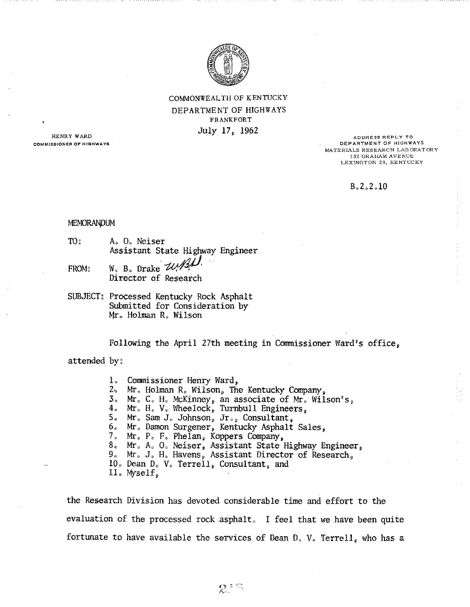

COMMONWEALTH OF KENTIJCKY DEPARTMENT OF HIGHWAYS FRANKFORT July 17, 1962

**HENRY WARD COMMISSIONER OF HIGHWAYS** 

**ADDRESS REPLY TO DEPARTMENT OF HIGHWAYS**  MATERIALS RESEARCH LABORATORY 132 GRAHAM AVENUE LEXINGTON 29, KENTUCKY

### $B_0 2.2.10$

### MEMORANDUM

TO: A, 0, Neiser Assistant State Highway Engineer

FROM:

- $W_0$ , B., Drake,  $W_1$ Director of Research
- SUBJECT: Processed Kentucky Rock Asphalt Submitted for Consideration by Mr, Holman R, Wilson

Following the April 27th meeting in Commissioner Ward's office,

attended by:

1. Commissioner Henry Ward,<br>2. Mr. Holman R. Wilson, The Kentucky Company,  $2.$  Mr. Holman R. Wilson, The Kentucky Company,  $3.$  Mr. C. H. McKinney, an associate of Mr. Wilson's, 4, Mr. H. V. Wheelock, Turnbull Engineers, 5, Mr. Sam J. Johnson, Jr., Consultant, 6. Mr. Damon Surgener, Kentucky Asphalt Sales,<br>7. Mr. P. F. Phelan, Koppers Company, 8, Mr, A, O, Neiser, Assistant State Highway Engineer, 9, Mr, J, H, Havens, Assistant Director of Research, 10, Dean D, V, Terrell, Consultant, and ll. Myself.

the Research Division has devoted considerable time and effort to the evaluation of the processed rock asphalt. I feel that we have been quite fortunate to have available the services of Dean D, V, Terrell, who has a

 $\mathbb{R}$  in  $\mathbb{C}$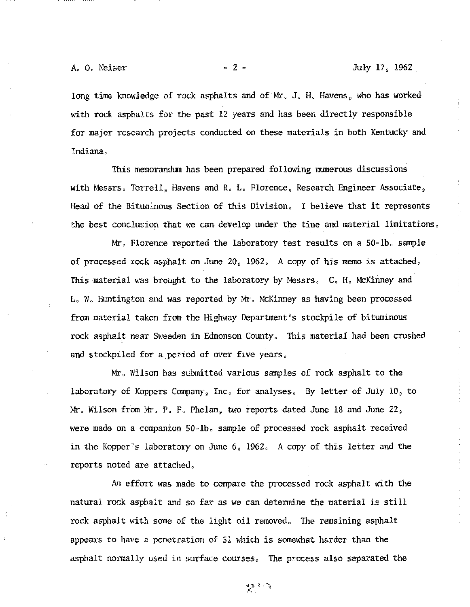long time knowledge of rock asphalts and of Mr. J. H. Havens, who has worked with rock asphalts for the past 12 years and has been directly responsible for major research projects conducted on these materials in both Kentucky and Indiana,

This memorandum has been prepared following numerous discussions with Messrs, Terrell, Havens and R. L. Florence, Research Engineer Associate, Head of the Bituminous Section of this Division, I believe that it represents the best conclusion that we can develop under the time and material limitations,

Mr. Florence reported the laboratory test results on a  $50 - lb$ . sample of processed rock asphalt on June 20, 1962, A copy of his memo is attached, This material was brought to the laboratory by Messrs, C, H, McKinney and L, W, Huntington and was reported by Mr, McKinney as having been processed from material taken from the Highway Department"s stockpile of bituminous rock asphalt near Sweeden in Edmonson County, This material had been crushed and stockpiled for a period of over five years.

Mr, Wilson has submitted various samples of rock asphalt to the laboratory of Koppers Company, Inc, for analyses, By letter of July 10, to  $Mr_{\circ}$  Wilson from Mr, P, F, Phelan, two reports dated June 18 and June 22, were made on a companion 50-lb. sample of processed rock asphalt received in the Kopper"s laboratory on June 6, 1962, A copy of this letter and the reports noted are attached,

An effort was made to compare the processed rock asphalt with the natural rock asphalt and so far as we can determine the material is still rock asphalt with some of the light oil removed, The remaining asphalt appears to have a penetration of 51 which is somewhat harder than the asphalt normally used in surface courses, The process also separated the

 $\sum_{i=1}^{n}$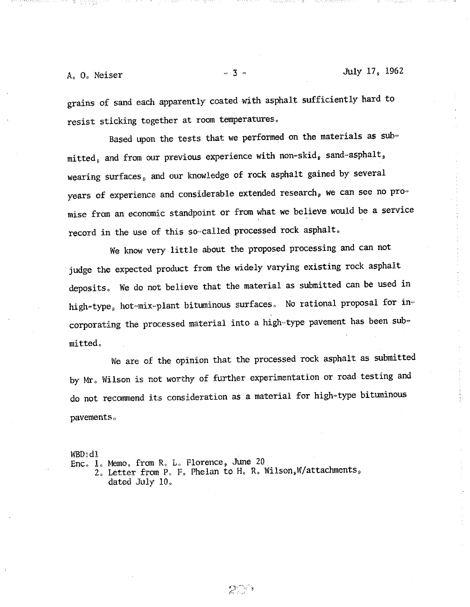$A<sub>o</sub>$  O<sub>c</sub> Neiser  $\overline{3}$   $\overline{3}$   $\overline{3}$   $\overline{3}$   $\overline{3}$   $\overline{3}$   $\overline{3}$   $\overline{4}$ 

grains of sand each apparently coated with asphalt sufficiently hard to resist sticking together at room temperatures,

Based upon the tests that we performed on the materials as sub $mitted<sub>s</sub>$  and from our previous experience with non-skid, sand-asphalt, wearing surfaces, and our knowledge of rock asphalt gained by several years of experience and considerable extended research, we can see no promise from an economic standpoint or from what we believe would be a service record in the use of this so-called processed rock asphalt.

We know very little about the proposed processing and can not judge the expected product from the widely varying existing rock asphalt deposits, We do not believe that the material as submitted can be used in high-type, hot-mix-plant bituminous surfaces. No rational proposal for incorporating the processed material into a high-type pavement has been submitted,

We are of the opinion that the processed rock asphalt as submitted by Mr, Wilson is not worthy of further experimentation or road testing and do not recommend its consideration as a material for high~type bituminous pavements,

WBD:dl

Enc, 1, Memo, from R, L, Florence, June <sup>20</sup>

2. Letter from P. F. Phelan to H. R. Wilson, W/attachments, dated July 10,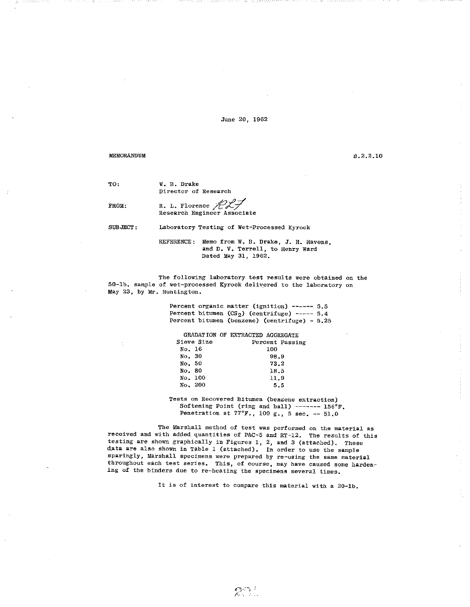June 20, 1962

### MEMORANDUM

B.2.2.10

TO:

W. B. Drake Director of Research

FROM:

R. L. Florence  $\mathbb{Z}$   $\mathbb{Z}$ <br>Research Engineer Associate

SUBJECT: Laboratory Testing of Wet-Processed Kyrock

> REFERENCE: Memo from W. B. Drake, J. H. Havens, and D. V. Terrell, to Henry Ward Dated May 31, 1962.

The following laboratory test results were obtained on the 50-lb. sample of wet-processed Kyrock delivered to the laboratory on May 23, by Mr. Huntington.

> Percent organic matter (ignition) ------ 5.5 Percent bitumen  $(CS_2)$  (centrifuge) ----- 5.4 Percent bitumen (benzene) (centrifuge) - 5.25

|            | GRADATION OF EXTRACTED AGGREGATE |
|------------|----------------------------------|
| Sieve Size | Percent Passing                  |
| No. 16     | 100                              |
| No. 30     | 98.9                             |
| No. 50     | 73.2                             |
| No. 80     | 18.5                             |
| No. 100    | 11.9                             |
| No. 200    | 5.5                              |

Tests on Recovered Bitumen (benzene extraction) Softening Point (ring and ball) ------- 156°F. Penetration at 77°F., 100 g., 5 sec. -- 51.0

The Marshall method of test was performed on the material as received and with added quantities of PAC-5 and RT-12. The results of this testing are shown graphically in Figures 1, 2, and 3 (attached). These data are also shown in Table 1 (attached). In order to use the sample sparingly, Marshall specimens were prepared by re-using the same material throughout each test series. This, of course, may have caused some hardening of the binders due to re-heating the specimens several times.

It is of interest to compare this material with a 20-lb.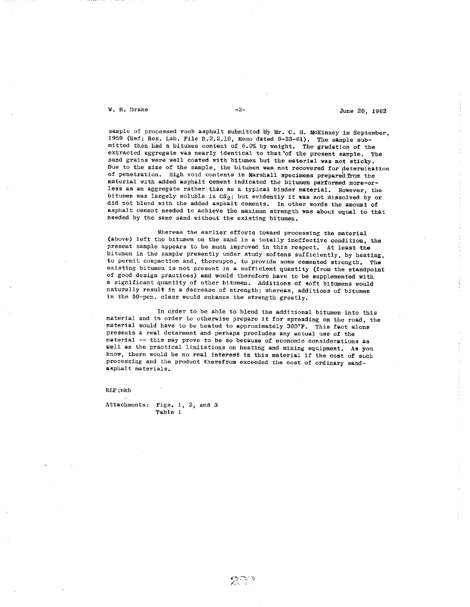$W. B. Drake$   $-2-$ 

sample of processed rock asphalt submitted by Mr. C. H. McKinney in September, <sup>1959</sup>(Ref: Res. Lab. *File* B.2.2.10, Memo dated 9-23-61). The sample submitted then had a bitumen content of  $6.0\%$  by weight. The gradation of the extracted aggregate was nearly identical to that of the present sample. The sand grains were well coated with bitumen but the material was not sticky. Due to the size of the sample, the bitumen was not recovered for determination of penetration. High void contents in Marshall specimens prepared from the material with added asphalt cement indicated the bitumen performed more-orless as an aggregate rather than as a typical binder material. However, the bitumen was largely soluble in  $CS_2$ ; but evidently it was not dissolved by or did not blend with the added asphalt cements. In other words the amount of asphalt cement needed to achieve the maximum strength was about equal to that needed by the same sand without the existing bitumen.

Whereas the earlier efforts toward processing the material (above) left the bitumen on the sand in a totally ineffective condition, the present sample appears to be much improved in this respect. At least the bitumen in the sample presently under study softens sufficiently,. by heating, to permit compaction and, thereupon, to provide some cemented strength. The existing bitumen is not present in a sufficient quantity (from the standpoint of good design practices) and would therefore have to be supplemented with <sup>a</sup>significant quantity of other bitumen. Additions of soft bitumens would naturally result in a decrease of strength; whereas, additions of bitumen in the 50-pen, class would enhance the strength greatly.

In order to be able to blend the additional bitumen- into this material and in order to otherwise prepare it for spreading on the road, the material would have to be heated to approximately 300°F. This fact alone presents a real determent and perhaps precludes any actual use of the material -- this may prove to be so because of economic considerations as well as the practical limitations on heating and mixing equipment. As you know, there would be no real interest in this material if the cost of such processing and the product therefrom exceeded the cost of ordinary sandasphalt materials.

RLF:mkb

Attachments: Figs. 1, 2, and 3 Table 1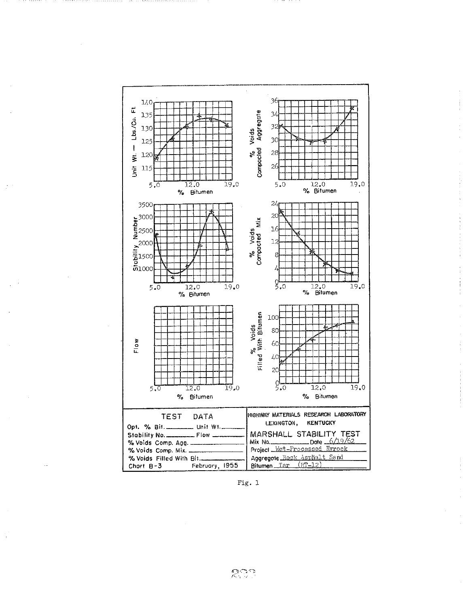

 $\chi^{\rm 2D}$ 

Fig.  $1$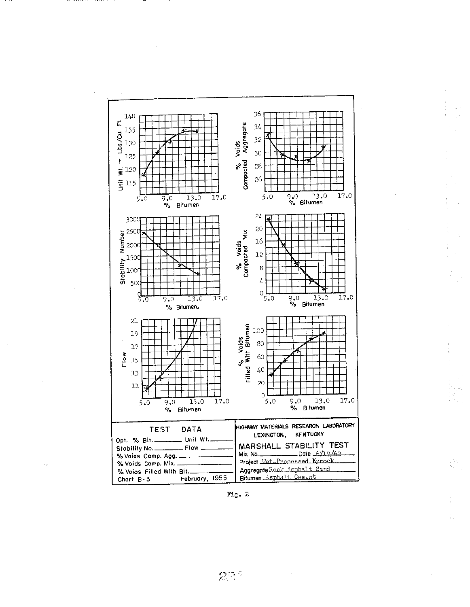

. . . . . . .

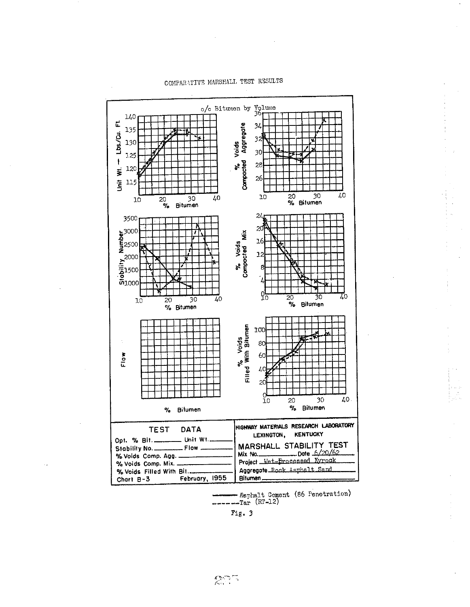

# COMPARATIVE MARSHALL TEST RESULTS

- Asphalt Cement (86 Penetration)<br>-Tar (RT-12)

Fig. 3